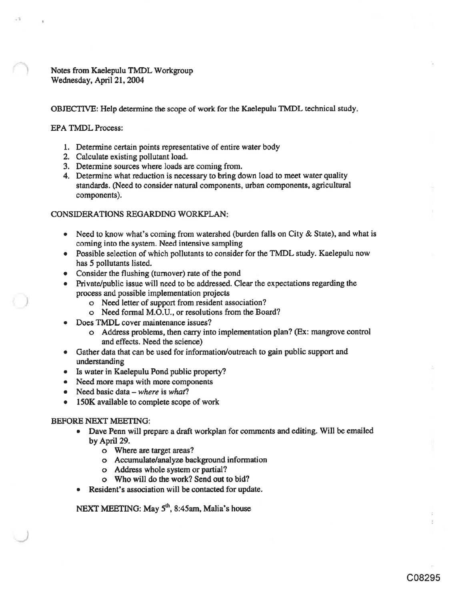## Notes from Kaelepulu TMDL Workgroup Wednesday, April 21, 2004

OBJECTIVE: Help determine the scope of work for the Kaelepulu TMDL technical study.

### EPA TMDL Process:

- 1. Determine certain points representative of entire water body
- 2. Calculate existing pollutant load.
- 3. Determine sources where loads are coming from.
- 4. Determine what reduction is necessary to bring down load to meet water quality standards. (Need to consíder natural components, urban components, agricultural components).

### CONSIDERATIONS REGARDING WORKPLAN

- Need to know what's coming from watershed (burden falls on City  $\&$  State), and what is coming into the system. Need intensive sampling
- Possible selection of which pollutants to consider for the TMDL study. Kaelepulu now has 5 pollutants listed.
- Consider the flushing (turnover) rate of the pond
- o Private/public issue will need to be addressed. Clear the expectations regarding the process and possible implementation projects
	- o Need letter of support from resident association?
	- o Need formal M.O.U., or resolutions from the Board?
- Does TMDL cover maintenance issues?
	- o Address problems, then carry into implementation plan? (Ex: mangrove control and effects. Need the science)
- Gather data that can be used for information/outreach to gain public support and understanding
- o Is water in Kaelepulu Pond public property?
- Need more maps with more components
- $\bullet$  Need basic data where is what?
- 150K available to complete scope of work

#### BEFORE NEXT MEETING:

- Dave Penn will prepare a draft workplan for comments and editing. Will be emailed by April 29.
	- o Where are target areas?
	- o Accumulate/analyze background information
	- o Address whole system or partial?
	- o Who will do the work? Send out to bid?
- Resident's association will be contacted for update.

NEXT MEETING: May 5<sup>th</sup>, 8:45am, Malia's house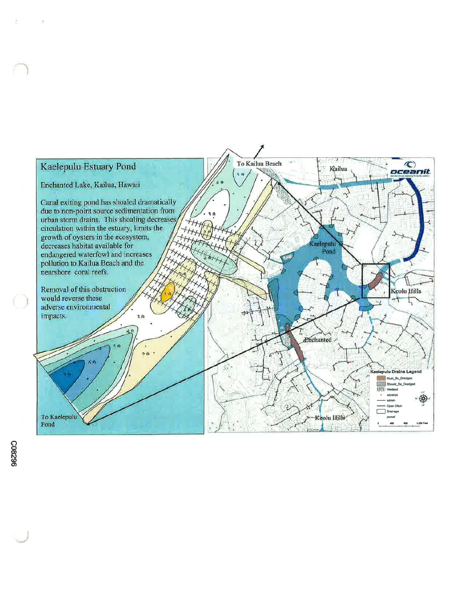

 $\bar{\nu}$ 

 $\mathbb{R}^3$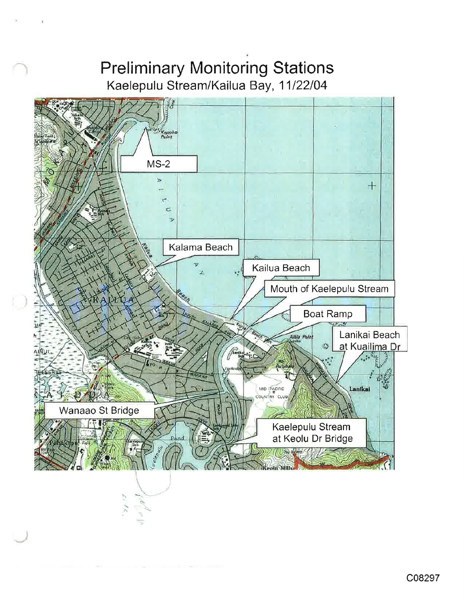# **Preliminary Monitoring Stations** Kaelepulu Stream/Kailua Bay, 11/22/04